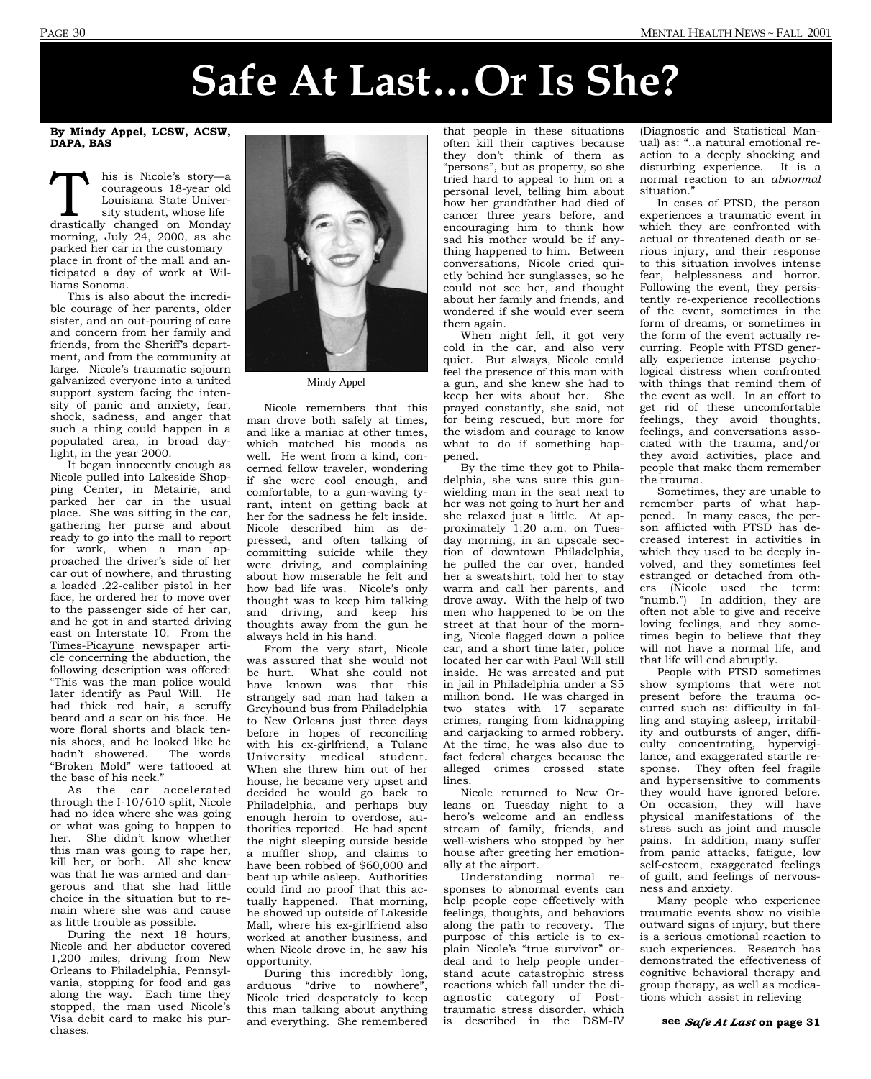## **Safe At Last…Or Is She?**

By Mindy Appel, LCSW, ACSW, DAPA, BAS

This is Nicole's story—a<br>
courageous 18-year old<br>
Louisiana State Univer-<br>
sity student, whose life<br>
drastically changed on Monday courageous 18-year old Louisiana State University student, whose life morning, July 24, 2000, as she parked her car in the customary place in front of the mall and anticipated a day of work at Williams Sonoma.

 This is also about the incredible courage of her parents, older sister, and an out-pouring of care and concern from her family and friends, from the Sheriff's department, and from the community at large. Nicole's traumatic sojourn galvanized everyone into a united support system facing the intensity of panic and anxiety, fear, shock, sadness, and anger that such a thing could happen in a populated area, in broad daylight, in the year 2000.

 It began innocently enough as Nicole pulled into Lakeside Shopping Center, in Metairie, and parked her car in the usual place. She was sitting in the car, gathering her purse and about ready to go into the mall to report for work, when a man approached the driver's side of her car out of nowhere, and thrusting a loaded .22-caliber pistol in her face, he ordered her to move over to the passenger side of her car, and he got in and started driving east on Interstate 10. From the Times-Picayune newspaper article concerning the abduction, the following description was offered: "This was the man police would later identify as Paul Will. He had thick red hair, a scruffy beard and a scar on his face. He wore floral shorts and black tennis shoes, and he looked like he hadn't showered. The words "Broken Mold" were tattooed at the base of his neck."

 As the car accelerated through the I-10/610 split, Nicole had no idea where she was going or what was going to happen to her. She didn't know whether this man was going to rape her, kill her, or both. All she knew was that he was armed and dangerous and that she had little choice in the situation but to remain where she was and cause as little trouble as possible.

 During the next 18 hours, Nicole and her abductor covered 1,200 miles, driving from New Orleans to Philadelphia, Pennsylvania, stopping for food and gas along the way. Each time they stopped, the man used Nicole's Visa debit card to make his purchases.



Mindy Appel

 Nicole remembers that this man drove both safely at times, and like a maniac at other times, which matched his moods as well. He went from a kind, concerned fellow traveler, wondering if she were cool enough, and comfortable, to a gun-waving tyrant, intent on getting back at her for the sadness he felt inside. Nicole described him as depressed, and often talking of committing suicide while they were driving, and complaining about how miserable he felt and how bad life was. Nicole's only thought was to keep him talking and driving, and keep his thoughts away from the gun he always held in his hand.

 From the very start, Nicole was assured that she would not be hurt. What she could not have known was that this strangely sad man had taken a Greyhound bus from Philadelphia to New Orleans just three days before in hopes of reconciling with his ex-girlfriend, a Tulane University medical student. When she threw him out of her house, he became very upset and decided he would go back to Philadelphia, and perhaps buy enough heroin to overdose, authorities reported. He had spent the night sleeping outside beside a muffler shop, and claims to have been robbed of \$60,000 and beat up while asleep. Authorities could find no proof that this actually happened. That morning, he showed up outside of Lakeside Mall, where his ex-girlfriend also worked at another business, and when Nicole drove in, he saw his opportunity.

 During this incredibly long, arduous "drive to nowhere", Nicole tried desperately to keep this man talking about anything and everything. She remembered

that people in these situations often kill their captives because they don't think of them as "persons", but as property, so she tried hard to appeal to him on a personal level, telling him about how her grandfather had died of cancer three years before, and encouraging him to think how sad his mother would be if anything happened to him. Between conversations, Nicole cried quietly behind her sunglasses, so he could not see her, and thought about her family and friends, and wondered if she would ever seem them again.

 When night fell, it got very cold in the car, and also very quiet. But always, Nicole could feel the presence of this man with a gun, and she knew she had to keep her wits about her. She prayed constantly, she said, not for being rescued, but more for the wisdom and courage to know what to do if something happened.

 By the time they got to Philadelphia, she was sure this gunwielding man in the seat next to her was not going to hurt her and she relaxed just a little. At approximately 1:20 a.m. on Tuesday morning, in an upscale section of downtown Philadelphia, he pulled the car over, handed her a sweatshirt, told her to stay warm and call her parents, and drove away. With the help of two men who happened to be on the street at that hour of the morning, Nicole flagged down a police car, and a short time later, police located her car with Paul Will still inside. He was arrested and put in jail in Philadelphia under a \$5 million bond. He was charged in two states with 17 separate crimes, ranging from kidnapping and carjacking to armed robbery. At the time, he was also due to fact federal charges because the alleged crimes crossed state lines.

 Nicole returned to New Orleans on Tuesday night to a hero's welcome and an endless stream of family, friends, and well-wishers who stopped by her house after greeting her emotionally at the airport.

 Understanding normal responses to abnormal events can help people cope effectively with feelings, thoughts, and behaviors along the path to recovery. The purpose of this article is to explain Nicole's "true survivor" ordeal and to help people understand acute catastrophic stress reactions which fall under the diagnostic category of Posttraumatic stress disorder, which is described in the DSM-IV

(Diagnostic and Statistical Manual) as: "..a natural emotional reaction to a deeply shocking and disturbing experience. It is a normal reaction to an *abnormal*  situation."

 In cases of PTSD, the person experiences a traumatic event in which they are confronted with actual or threatened death or serious injury, and their response to this situation involves intense fear, helplessness and horror. Following the event, they persistently re-experience recollections of the event, sometimes in the form of dreams, or sometimes in the form of the event actually recurring. People with PTSD generally experience intense psychological distress when confronted with things that remind them of the event as well. In an effort to get rid of these uncomfortable feelings, they avoid thoughts, feelings, and conversations associated with the trauma, and/or they avoid activities, place and people that make them remember the trauma.

 Sometimes, they are unable to remember parts of what happened. In many cases, the person afflicted with PTSD has decreased interest in activities in which they used to be deeply involved, and they sometimes feel estranged or detached from others (Nicole used the term: "numb.") In addition, they are often not able to give and receive loving feelings, and they sometimes begin to believe that they will not have a normal life, and that life will end abruptly.

 People with PTSD sometimes show symptoms that were not present before the trauma occurred such as: difficulty in falling and staying asleep, irritability and outbursts of anger, difficulty concentrating, hypervigilance, and exaggerated startle response. They often feel fragile and hypersensitive to comments they would have ignored before. On occasion, they will have physical manifestations of the stress such as joint and muscle pains. In addition, many suffer from panic attacks, fatigue, low self-esteem, exaggerated feelings of guilt, and feelings of nervousness and anxiety.

 Many people who experience traumatic events show no visible outward signs of injury, but there is a serious emotional reaction to such experiences. Research has demonstrated the effectiveness of cognitive behavioral therapy and group therapy, as well as medications which assist in relieving